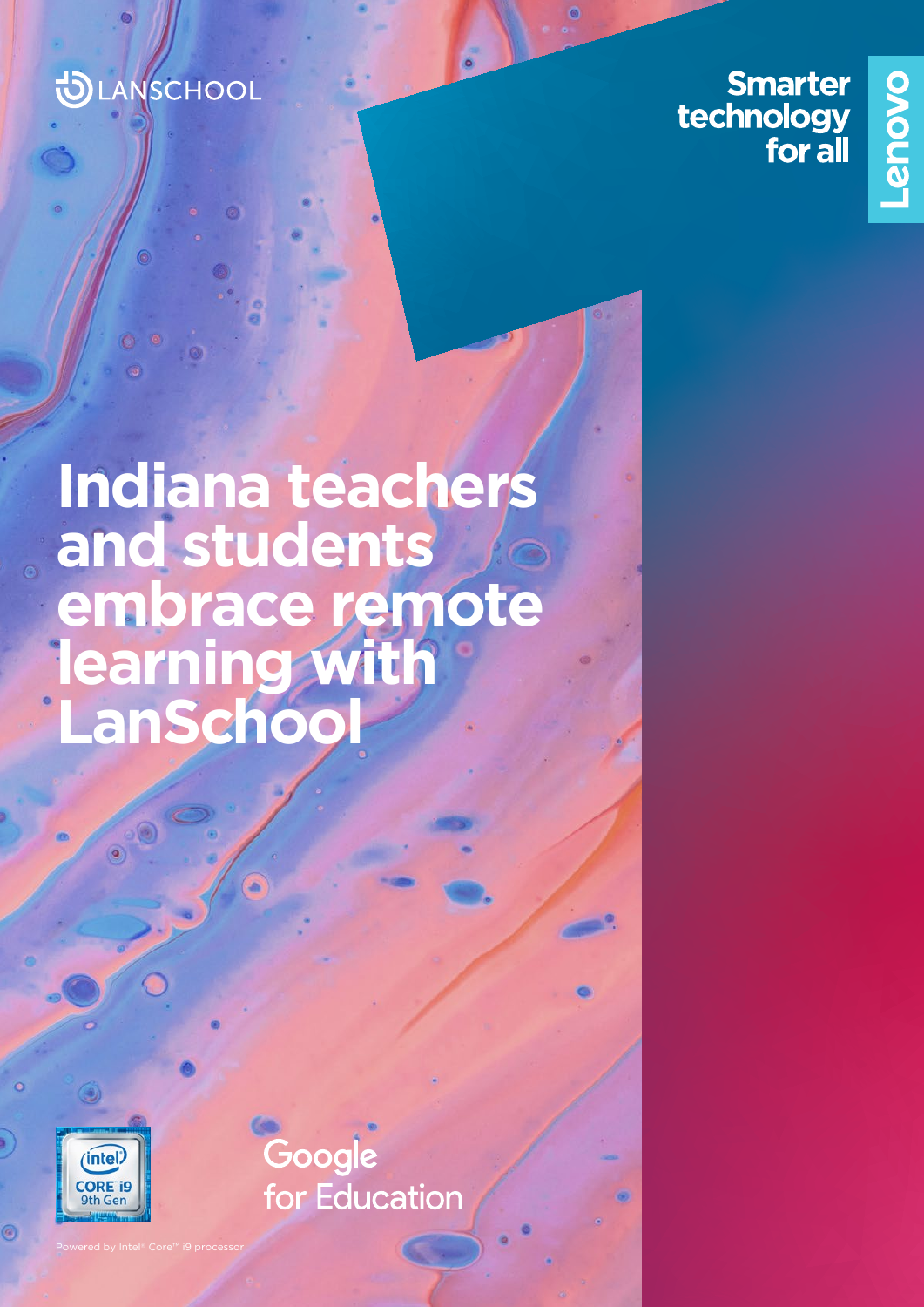### **DLANSCHOOL**

**Smarter** technology<br>for all



## **Indiana teachers and students embrace remote learning with LanSchool**



Powered by Intel® Core™ i9 processor

Google for Education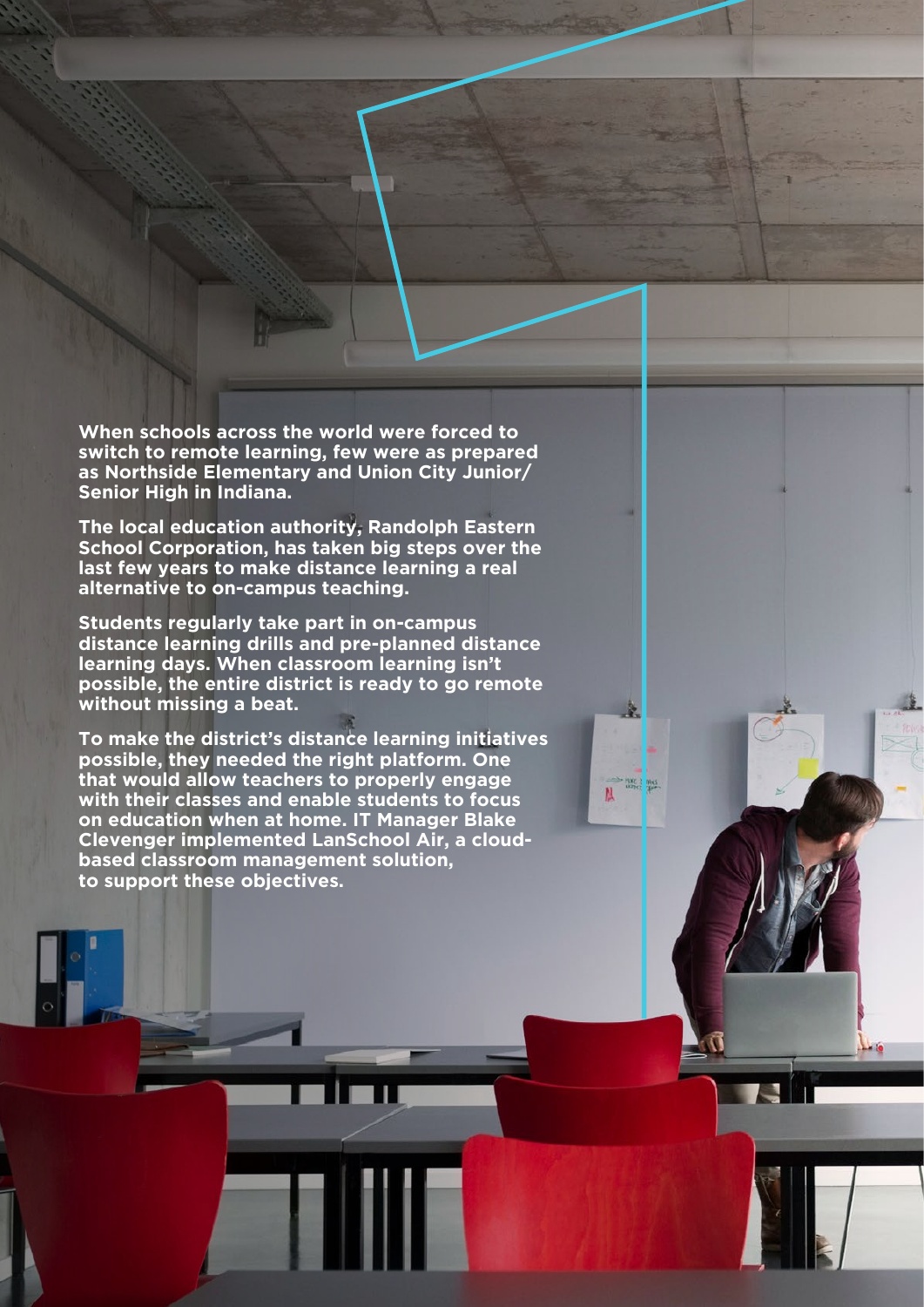**When schools across the world were forced to switch to remote learning, few were as prepared as Northside Elementary and Union City Junior/ Senior High in Indiana.** 

**The local education authority, Randolph Eastern School Corporation, has taken big steps over the last few years to make distance learning a real alternative to on-campus teaching.**

**Students regularly take part in on-campus distance learning drills and pre-planned distance learning days. When classroom learning isn't possible, the entire district is ready to go remote without missing a beat.**

**To make the district's distance learning initiatives possible, they needed the right platform. One that would allow teachers to properly engage with their classes and enable students to focus on education when at home. IT Manager Blake Clevenger implemented LanSchool Air, a cloudbased classroom management solution, to support these objectives.**

 $\frac{1}{M}$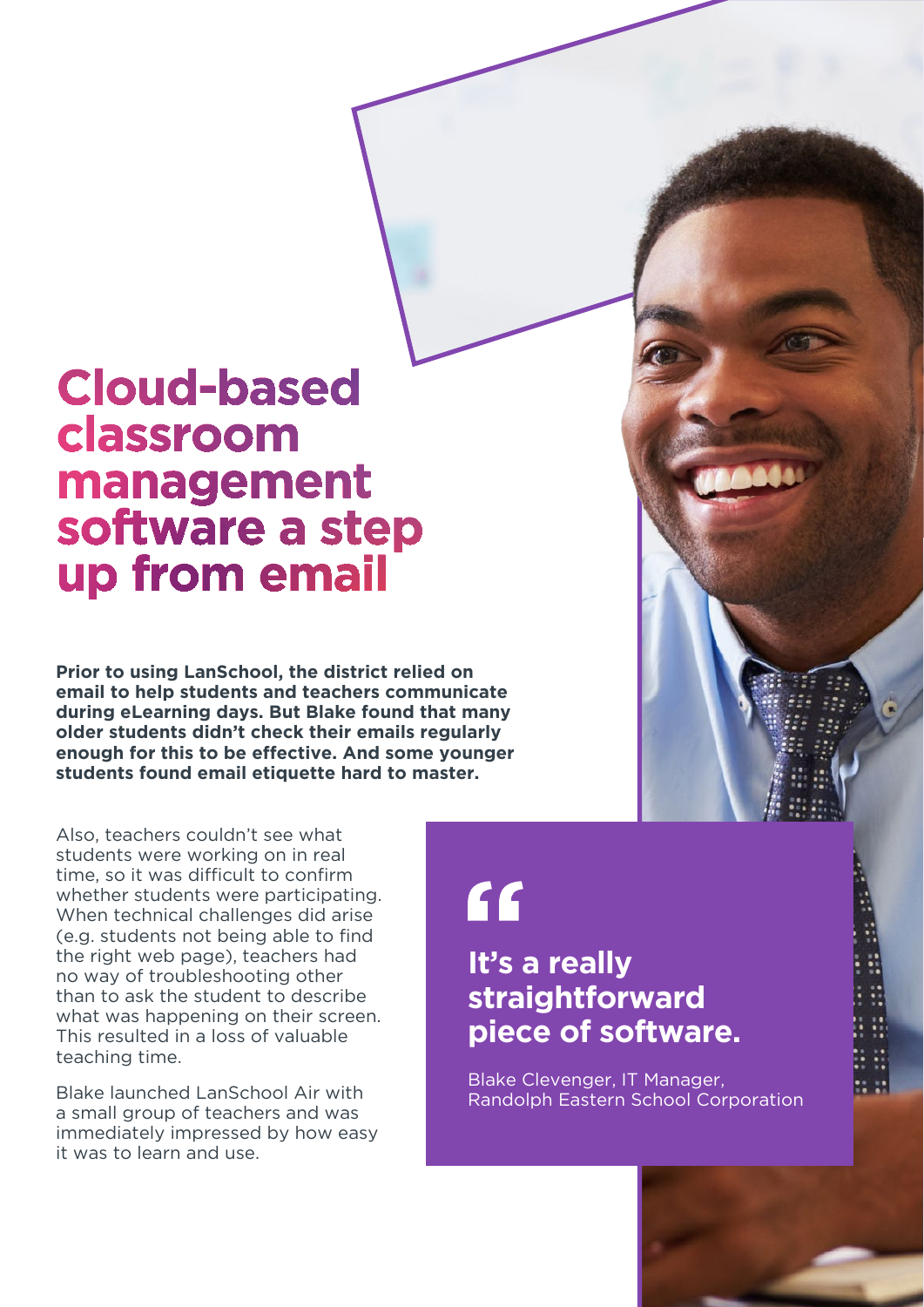### **Cloud-based** classroom management software a step up from email

**Prior to using LanSchool, the district relied on email to help students and teachers communicate during eLearning days. But Blake found that many older students didn't check their emails regularly enough for this to be effective. And some younger students found email etiquette hard to master.**

Also, teachers couldn't see what students were working on in real time, so it was difficult to confirm whether students were participating. When technical challenges did arise (e.g. students not being able to find the right web page), teachers had no way of troubleshooting other than to ask the student to describe what was happening on their screen. This resulted in a loss of valuable teaching time.

Blake launched LanSchool Air with a small group of teachers and was immediately impressed by how easy it was to learn and use.

"

### **It's a really straightforward piece of software.**

Blake Clevenger, IT Manager, Randolph Eastern School Corporation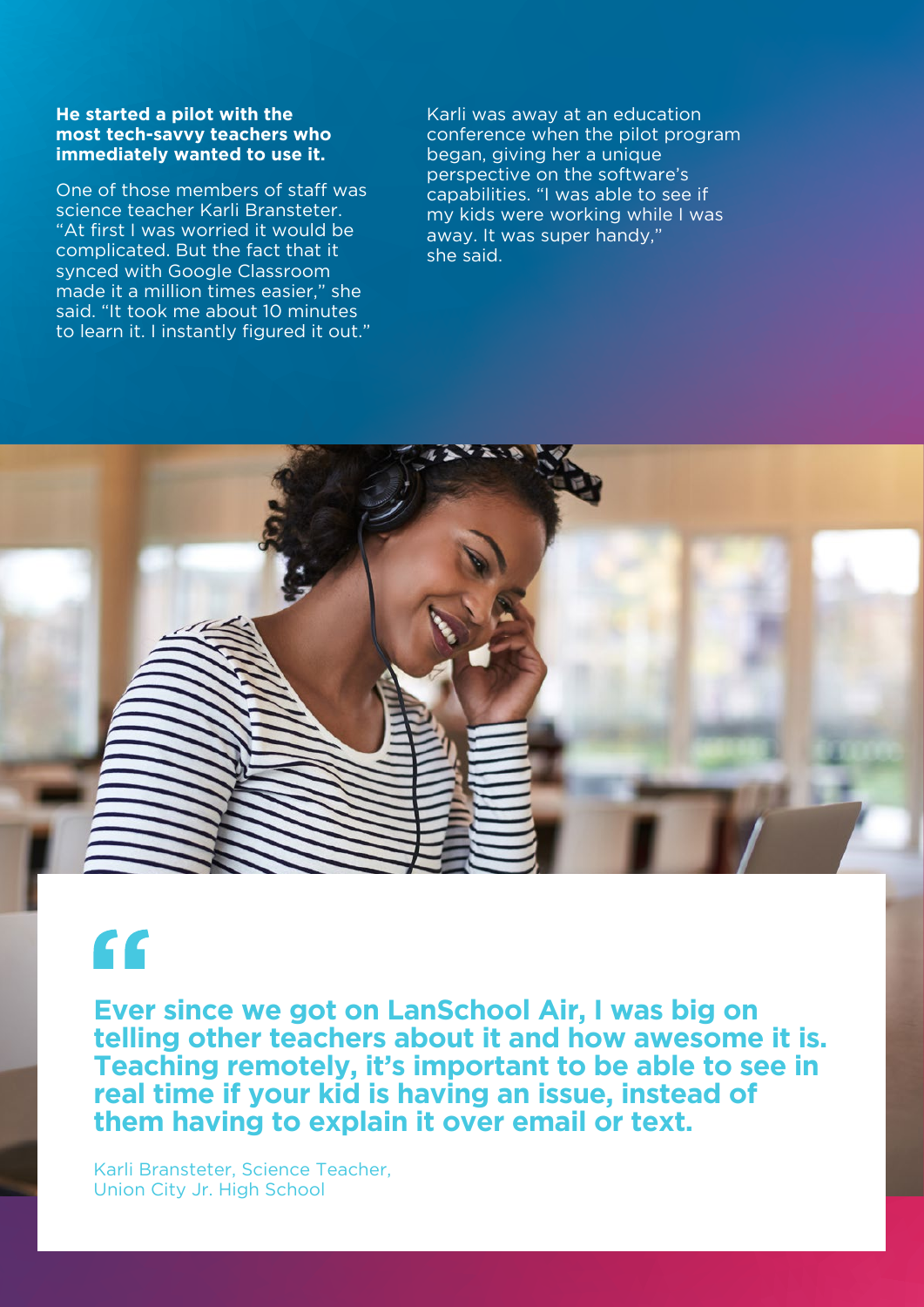#### **He started a pilot with the most tech-savvy teachers who immediately wanted to use it.**

One of those members of staff was science teacher Karli Bransteter. "At first I was worried it would be complicated. But the fact that it synced with Google Classroom made it a million times easier," she said. "It took me about 10 minutes to learn it. I instantly figured it out." Karli was away at an education conference when the pilot program began, giving her a unique perspective on the software's capabilities. "I was able to see if my kids were working while I was away. It was super handy," she said.



### "

**Ever since we got on LanSchool Air, I was big on telling other teachers about it and how awesome it is. Teaching remotely, it's important to be able to see in real time if your kid is having an issue, instead of them having to explain it over email or text.**

Karli Bransteter, Science Teacher, Union City Jr. High School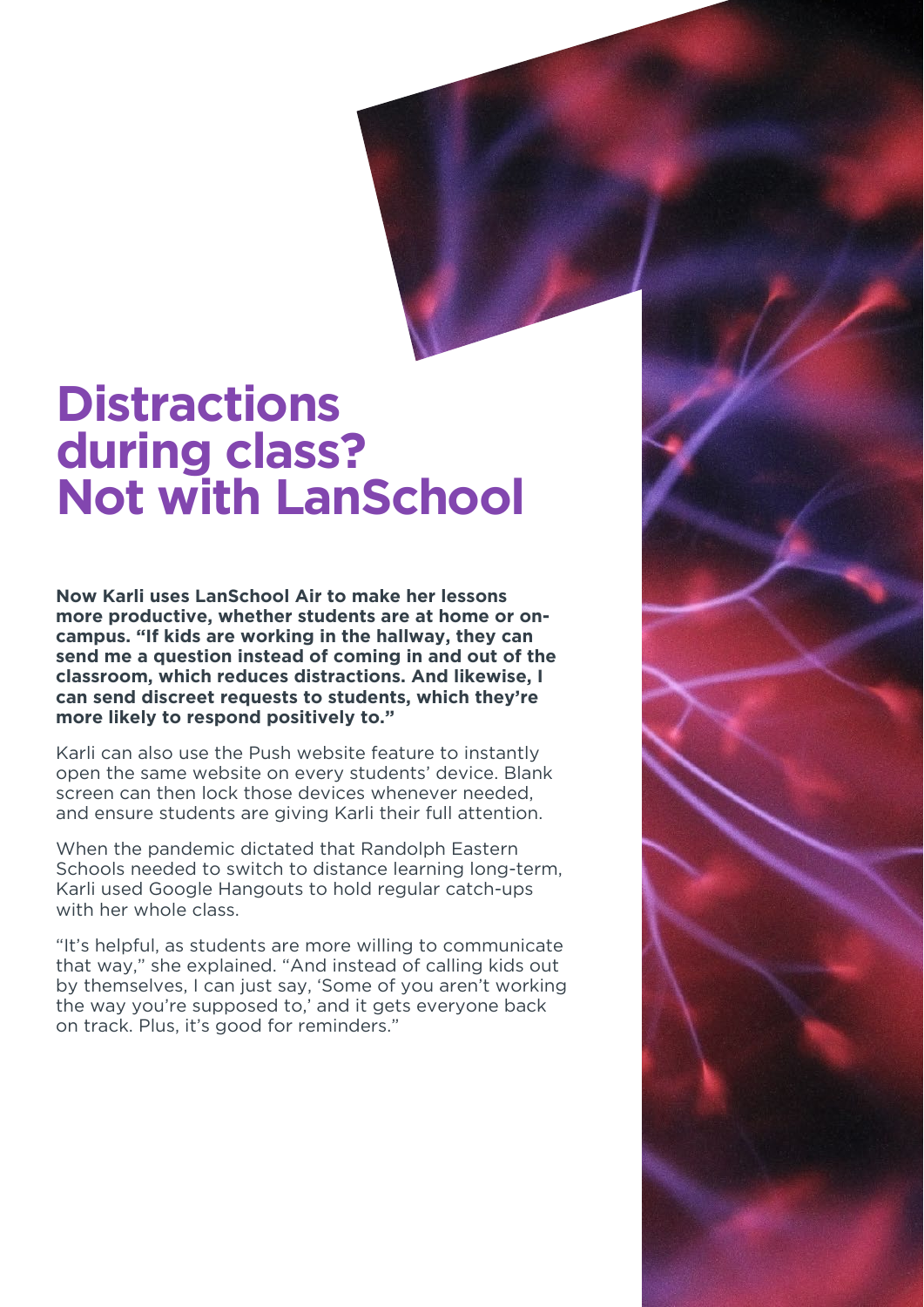### **Distractions during class? Not with LanSchool**

**Now Karli uses LanSchool Air to make her lessons more productive, whether students are at home or oncampus. "If kids are working in the hallway, they can send me a question instead of coming in and out of the classroom, which reduces distractions. And likewise, I can send discreet requests to students, which they're more likely to respond positively to."**

Karli can also use the Push website feature to instantly open the same website on every students' device. Blank screen can then lock those devices whenever needed, and ensure students are giving Karli their full attention.

When the pandemic dictated that Randolph Eastern Schools needed to switch to distance learning long-term, Karli used Google Hangouts to hold regular catch-ups with her whole class.

"It's helpful, as students are more willing to communicate that way," she explained. "And instead of calling kids out by themselves, I can just say, 'Some of you aren't working the way you're supposed to,' and it gets everyone back on track. Plus, it's good for reminders."

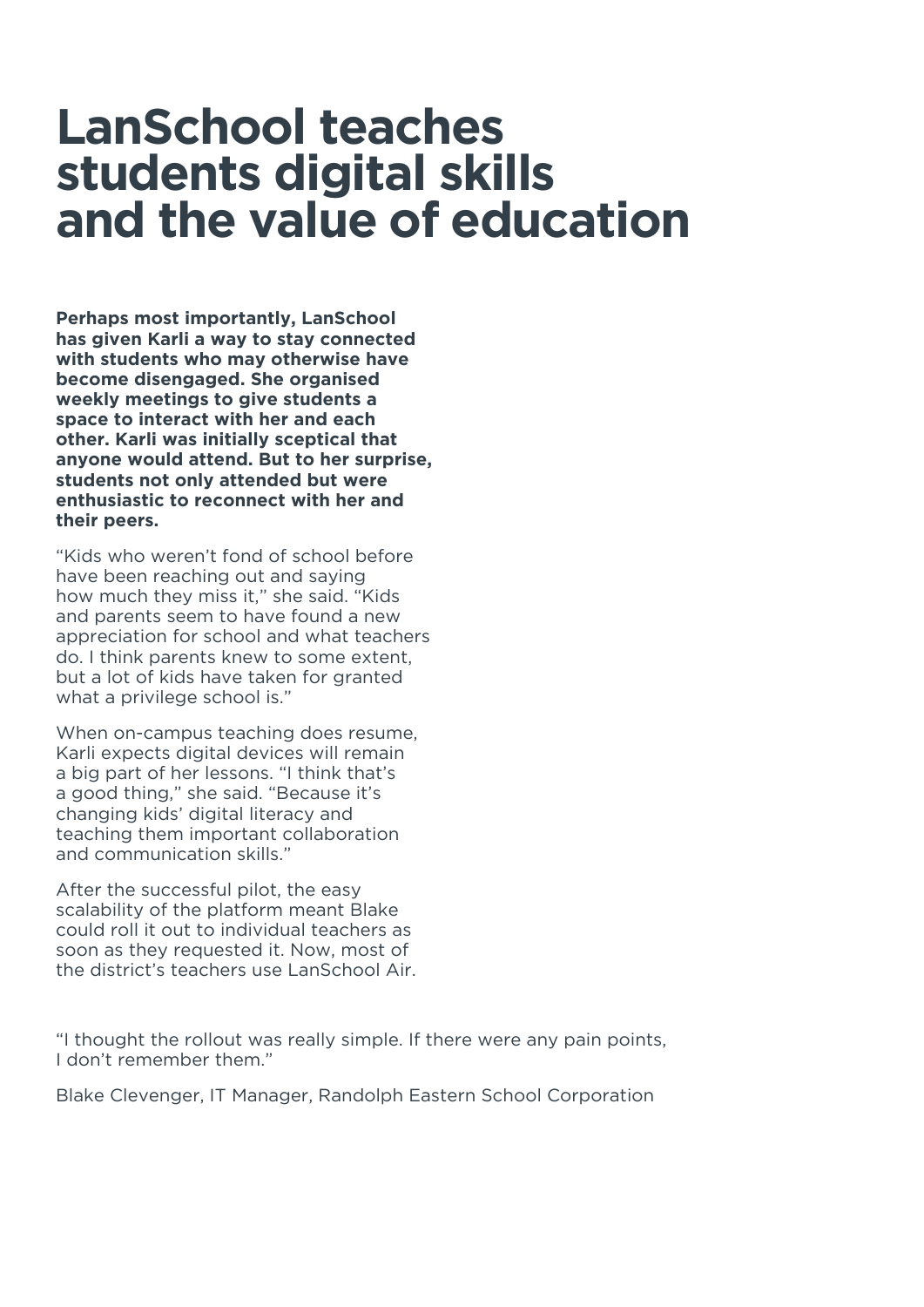### **LanSchool teaches students digital skills and the value of education**

**Perhaps most importantly, LanSchool has given Karli a way to stay connected with students who may otherwise have become disengaged. She organised weekly meetings to give students a space to interact with her and each other. Karli was initially sceptical that anyone would attend. But to her surprise, students not only attended but were enthusiastic to reconnect with her and their peers.**

"Kids who weren't fond of school before have been reaching out and saying how much they miss it," she said. "Kids and parents seem to have found a new appreciation for school and what teachers do. I think parents knew to some extent, but a lot of kids have taken for granted what a privilege school is."

When on-campus teaching does resume, Karli expects digital devices will remain a big part of her lessons. "I think that's a good thing," she said. "Because it's changing kids' digital literacy and teaching them important collaboration and communication skills."

After the successful pilot, the easy scalability of the platform meant Blake could roll it out to individual teachers as soon as they requested it. Now, most of the district's teachers use LanSchool Air.

"I thought the rollout was really simple. If there were any pain points, I don't remember them."

Blake Clevenger, IT Manager, Randolph Eastern School Corporation